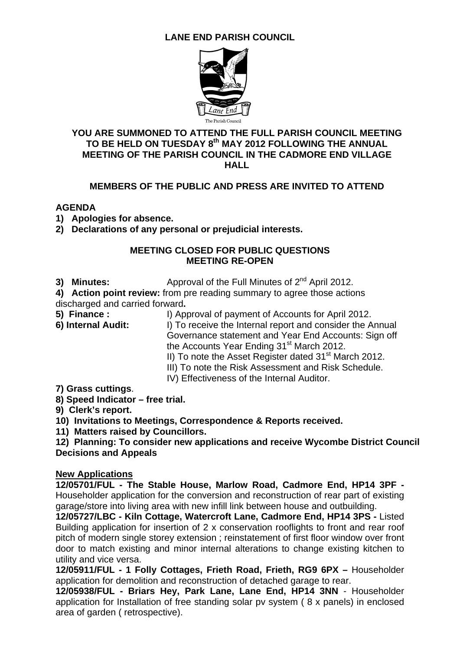# **LANE END PARISH COUNCIL**



#### **YOU ARE SUMMONED TO ATTEND THE FULL PARISH COUNCIL MEETING TO BE HELD ON TUESDAY 8th MAY 2012 FOLLOWING THE ANNUAL MEETING OF THE PARISH COUNCIL IN THE CADMORE END VILLAGE HALL**

## **MEMBERS OF THE PUBLIC AND PRESS ARE INVITED TO ATTEND**

#### **AGENDA**

- **1) Apologies for absence.**
- **2) Declarations of any personal or prejudicial interests.**

#### **MEETING CLOSED FOR PUBLIC QUESTIONS MEETING RE-OPEN**

**3) Minutes:** Approval of the Full Minutes of 2<sup>nd</sup> April 2012.

**4) Action point review:** from pre reading summary to agree those actions discharged and carried forward**.** 

**5) Finance :** I) Approval of payment of Accounts for April 2012. **6) Internal Audit:** I) To receive the Internal report and consider the Annual Governance statement and Year End Accounts: Sign off the Accounts Year Ending 31<sup>st</sup> March 2012. II) To note the Asset Register dated  $31<sup>st</sup>$  March 2012.

- 
- III) To note the Risk Assessment and Risk Schedule.
- IV) Effectiveness of the Internal Auditor.
- **7) Grass cuttings**.
- **8) Speed Indicator free trial.**
- **9) Clerk's report.**
- **10) Invitations to Meetings, Correspondence & Reports received.**
- **11) Matters raised by Councillors.**

**12) Planning: To consider new applications and receive Wycombe District Council Decisions and Appeals** 

#### **New Applications**

**12/05701/FUL - The Stable House, Marlow Road, Cadmore End, HP14 3PF -**  Householder application for the conversion and reconstruction of rear part of existing garage/store into living area with new infill link between house and outbuilding.

**12/05727/LBC - Kiln Cottage, Watercroft Lane, Cadmore End, HP14 3PS -** Listed Building application for insertion of 2 x conservation rooflights to front and rear roof pitch of modern single storey extension ; reinstatement of first floor window over front door to match existing and minor internal alterations to change existing kitchen to utility and vice versa.

**12/05911/FUL - 1 Folly Cottages, Frieth Road, Frieth, RG9 6PX –** Householder application for demolition and reconstruction of detached garage to rear.

**12/05938/FUL - Briars Hey, Park Lane, Lane End, HP14 3NN** - Householder application for Installation of free standing solar pv system ( 8 x panels) in enclosed area of garden ( retrospective).